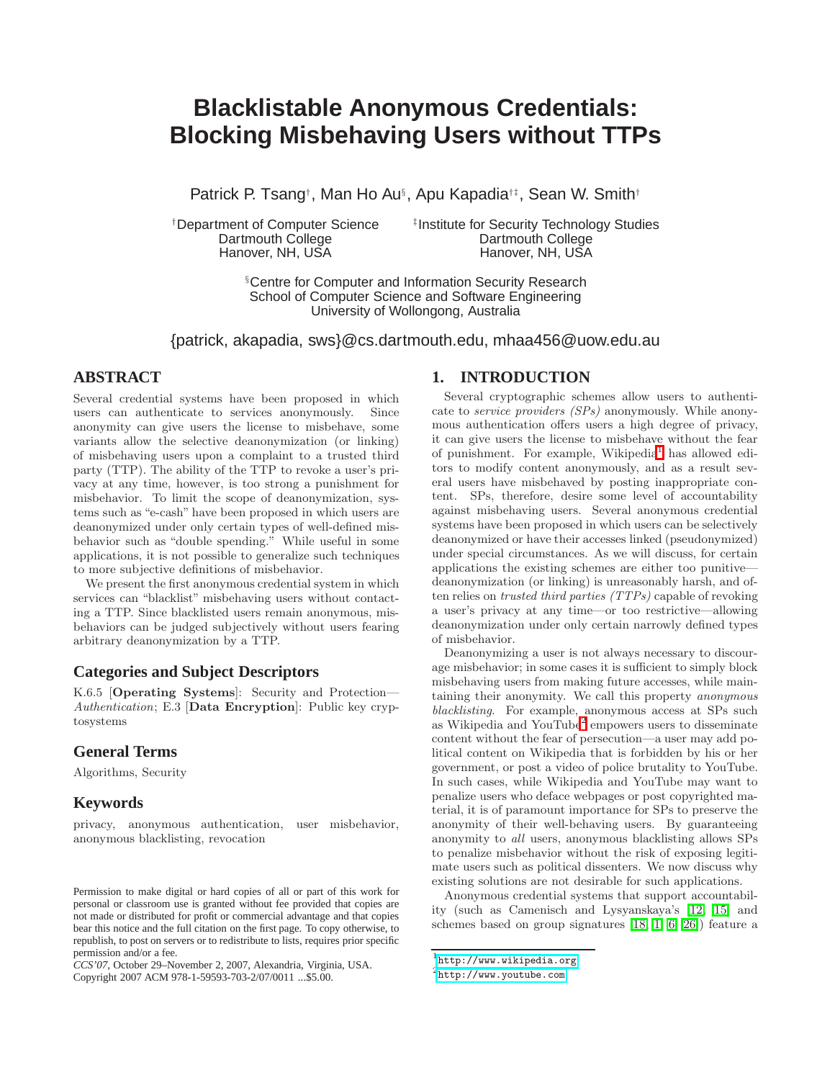# **Blacklistable Anonymous Credentials: Blocking Misbehaving Users without TTPs**

Patrick P. Tsang<sup>†</sup>, Man Ho Au<sup>§</sup>, Apu Kapadia<sup>†‡</sup>, Sean W. Smith<sup>†</sup>

<sup>†</sup>Department of Computer Science<br>**Dartmouth College** Hanover, NH, USA

<sup>‡</sup> Institute for Security Technology Studies Dartmouth College<br>Hanover, NH, USA

§Centre for Computer and Information Security Research School of Computer Science and Software Engineering University of Wollongong, Australia

{patrick, akapadia, sws}@cs.dartmouth.edu, mhaa456@uow.edu.au

# **ABSTRACT**

Several credential systems have been proposed in which users can authenticate to services anonymously. Since anonymity can give users the license to misbehave, some variants allow the selective deanonymization (or linking) of misbehaving users upon a complaint to a trusted third party (TTP). The ability of the TTP to revoke a user's privacy at any time, however, is too strong a punishment for misbehavior. To limit the scope of deanonymization, systems such as "e-cash" have been proposed in which users are deanonymized under only certain types of well-defined misbehavior such as "double spending." While useful in some applications, it is not possible to generalize such techniques to more subjective definitions of misbehavior.

We present the first anonymous credential system in which services can "blacklist" misbehaving users without contacting a TTP. Since blacklisted users remain anonymous, misbehaviors can be judged subjectively without users fearing arbitrary deanonymization by a TTP.

### **Categories and Subject Descriptors**

K.6.5 [Operating Systems]: Security and Protection— Authentication; E.3 [Data Encryption]: Public key cryptosystems

### **General Terms**

Algorithms, Security

### **Keywords**

privacy, anonymous authentication, user misbehavior, anonymous blacklisting, revocation

*CCS'07,* October 29–November 2, 2007, Alexandria, Virginia, USA. Copyright 2007 ACM 978-1-59593-703-2/07/0011 ...\$5.00.

# **1. INTRODUCTION**

Several cryptographic schemes allow users to authenticate to service providers (SPs) anonymously. While anonymous authentication offers users a high degree of privacy, it can give users the license to misbehave without the fear of punishment. For example, Wikipedia<sup>[1](#page-0-0)</sup> has allowed editors to modify content anonymously, and as a result several users have misbehaved by posting inappropriate content. SPs, therefore, desire some level of accountability against misbehaving users. Several anonymous credential systems have been proposed in which users can be selectively deanonymized or have their accesses linked (pseudonymized) under special circumstances. As we will discuss, for certain applications the existing schemes are either too punitive deanonymization (or linking) is unreasonably harsh, and often relies on trusted third parties (TTPs) capable of revoking a user's privacy at any time—or too restrictive—allowing deanonymization under only certain narrowly defined types of misbehavior.

Deanonymizing a user is not always necessary to discourage misbehavior; in some cases it is sufficient to simply block misbehaving users from making future accesses, while maintaining their anonymity. We call this property anonymous blacklisting. For example, anonymous access at SPs such as Wikipedia and YouTube<sup>[2](#page-0-1)</sup> empowers users to disseminate content without the fear of persecution—a user may add political content on Wikipedia that is forbidden by his or her government, or post a video of police brutality to YouTube. In such cases, while Wikipedia and YouTube may want to penalize users who deface webpages or post copyrighted material, it is of paramount importance for SPs to preserve the anonymity of their well-behaving users. By guaranteeing anonymity to all users, anonymous blacklisting allows SPs to penalize misbehavior without the risk of exposing legitimate users such as political dissenters. We now discuss why existing solutions are not desirable for such applications.

Anonymous credential systems that support accountability (such as Camenisch and Lysyanskaya's [\[12,](#page-8-0) [15\]](#page-8-1) and schemes based on group signatures [\[18,](#page-8-2) [1,](#page-7-0) [6,](#page-7-1) [26\]](#page-8-3)) feature a

Permission to make digital or hard copies of all or part of this work for personal or classroom use is granted without fee provided that copies are not made or distributed for profit or commercial advantage and that copies bear this notice and the full citation on the first page. To copy otherwise, to republish, to post on servers or to redistribute to lists, requires prior specific permission and/or a fee.

<span id="page-0-1"></span><span id="page-0-0"></span><sup>1</sup><http://www.wikipedia.org>

 $^2$ <http://www.youtube.com>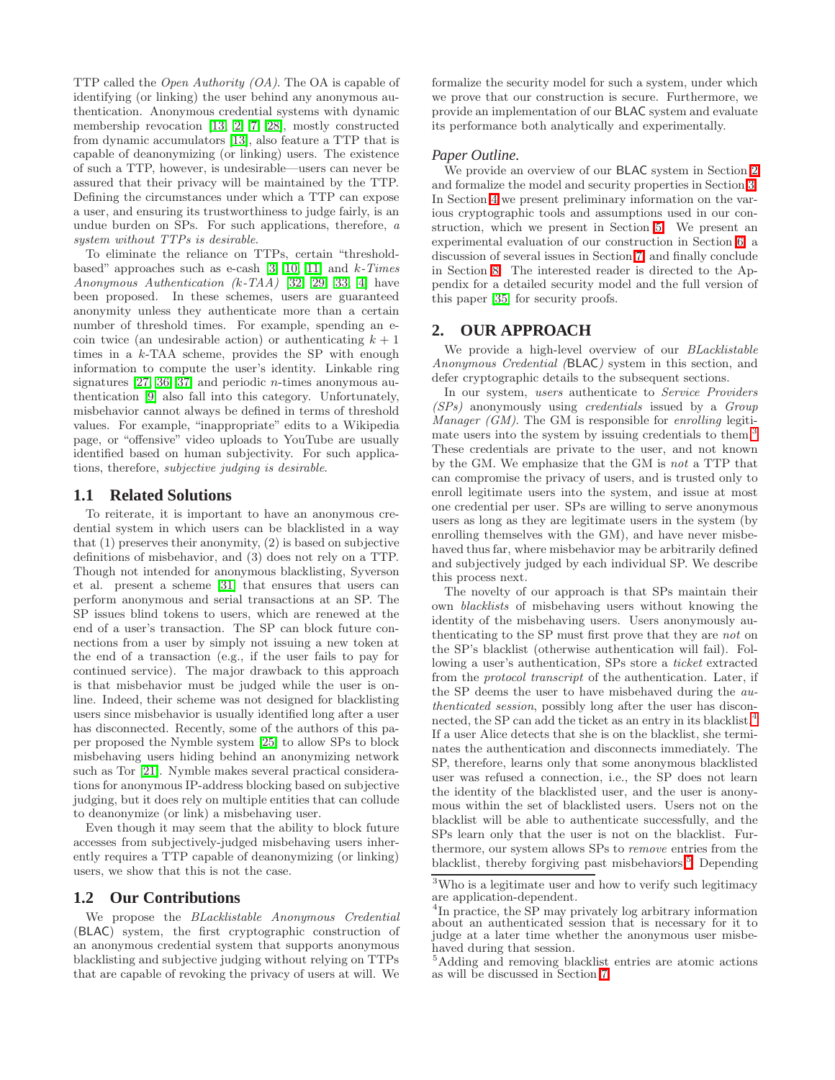TTP called the Open Authority (OA). The OA is capable of identifying (or linking) the user behind any anonymous authentication. Anonymous credential systems with dynamic membership revocation [\[13,](#page-8-4) [2,](#page-7-2) [7,](#page-7-3) [28\]](#page-8-5), mostly constructed from dynamic accumulators [\[13\]](#page-8-4), also feature a TTP that is capable of deanonymizing (or linking) users. The existence of such a TTP, however, is undesirable—users can never be assured that their privacy will be maintained by the TTP. Defining the circumstances under which a TTP can expose a user, and ensuring its trustworthiness to judge fairly, is an undue burden on SPs. For such applications, therefore, a system without TTPs is desirable.

To eliminate the reliance on TTPs, certain "thresholdbased" approaches such as e-cash  $[3, 10, 11]$  $[3, 10, 11]$  $[3, 10, 11]$  and  $k$ -Times Anonymous Authentication (k-TAA) [\[32,](#page-8-8) [29,](#page-8-9) [33,](#page-8-10) [4\]](#page-7-5) have been proposed. In these schemes, users are guaranteed anonymity unless they authenticate more than a certain number of threshold times. For example, spending an ecoin twice (an undesirable action) or authenticating  $k + 1$ times in a k-TAA scheme, provides the SP with enough information to compute the user's identity. Linkable ring signatures [\[27,](#page-8-11) [36,](#page-8-12) [37\]](#page-8-13) and periodic *n*-times anonymous authentication [\[9\]](#page-8-14) also fall into this category. Unfortunately, misbehavior cannot always be defined in terms of threshold values. For example, "inappropriate" edits to a Wikipedia page, or "offensive" video uploads to YouTube are usually identified based on human subjectivity. For such applications, therefore, subjective judging is desirable.

### **1.1 Related Solutions**

To reiterate, it is important to have an anonymous credential system in which users can be blacklisted in a way that (1) preserves their anonymity, (2) is based on subjective definitions of misbehavior, and (3) does not rely on a TTP. Though not intended for anonymous blacklisting, Syverson et al. present a scheme [\[31\]](#page-8-15) that ensures that users can perform anonymous and serial transactions at an SP. The SP issues blind tokens to users, which are renewed at the end of a user's transaction. The SP can block future connections from a user by simply not issuing a new token at the end of a transaction (e.g., if the user fails to pay for continued service). The major drawback to this approach is that misbehavior must be judged while the user is online. Indeed, their scheme was not designed for blacklisting users since misbehavior is usually identified long after a user has disconnected. Recently, some of the authors of this paper proposed the Nymble system [\[25\]](#page-8-16) to allow SPs to block misbehaving users hiding behind an anonymizing network such as Tor [\[21\]](#page-8-17). Nymble makes several practical considerations for anonymous IP-address blocking based on subjective judging, but it does rely on multiple entities that can collude to deanonymize (or link) a misbehaving user.

Even though it may seem that the ability to block future accesses from subjectively-judged misbehaving users inherently requires a TTP capable of deanonymizing (or linking) users, we show that this is not the case.

#### **1.2 Our Contributions**

We propose the *BLacklistable Anonymous Credential* (BLAC) system, the first cryptographic construction of an anonymous credential system that supports anonymous blacklisting and subjective judging without relying on TTPs that are capable of revoking the privacy of users at will. We formalize the security model for such a system, under which we prove that our construction is secure. Furthermore, we provide an implementation of our BLAC system and evaluate its performance both analytically and experimentally.

### *Paper Outline.*

We provide an overview of our BLAC system in Section [2](#page-1-0) and formalize the model and security properties in Section [3.](#page-2-0) In Section [4](#page-3-0) we present preliminary information on the various cryptographic tools and assumptions used in our construction, which we present in Section [5.](#page-4-0) We present an experimental evaluation of our construction in Section [6,](#page-5-0) a discussion of several issues in Section [7,](#page-6-0) and finally conclude in Section [8.](#page-7-6) The interested reader is directed to the Appendix for a detailed security model and the full version of this paper [\[35\]](#page-8-18) for security proofs.

### <span id="page-1-0"></span>**2. OUR APPROACH**

We provide a high-level overview of our **BLacklistable** Anonymous Credential (BLAC) system in this section, and defer cryptographic details to the subsequent sections.

In our system, users authenticate to Service Providers (SPs) anonymously using credentials issued by a Group Manager (GM). The GM is responsible for enrolling legiti-mate users into the system by issuing credentials to them.<sup>[3](#page-1-1)</sup> These credentials are private to the user, and not known by the GM. We emphasize that the GM is not a TTP that can compromise the privacy of users, and is trusted only to enroll legitimate users into the system, and issue at most one credential per user. SPs are willing to serve anonymous users as long as they are legitimate users in the system (by enrolling themselves with the GM), and have never misbehaved thus far, where misbehavior may be arbitrarily defined and subjectively judged by each individual SP. We describe this process next.

The novelty of our approach is that SPs maintain their own blacklists of misbehaving users without knowing the identity of the misbehaving users. Users anonymously authenticating to the SP must first prove that they are not on the SP's blacklist (otherwise authentication will fail). Following a user's authentication, SPs store a ticket extracted from the protocol transcript of the authentication. Later, if the SP deems the user to have misbehaved during the authenticated session, possibly long after the user has discon-nected, the SP can add the ticket as an entry in its blacklist.<sup>[4](#page-1-2)</sup> If a user Alice detects that she is on the blacklist, she terminates the authentication and disconnects immediately. The SP, therefore, learns only that some anonymous blacklisted user was refused a connection, i.e., the SP does not learn the identity of the blacklisted user, and the user is anonymous within the set of blacklisted users. Users not on the blacklist will be able to authenticate successfully, and the SPs learn only that the user is not on the blacklist. Furthermore, our system allows SPs to remove entries from the blacklist, thereby forgiving past misbehaviors.<sup>[5](#page-1-3)</sup> Depending

<span id="page-1-1"></span><sup>3</sup>Who is a legitimate user and how to verify such legitimacy are application-dependent.

<span id="page-1-2"></span><sup>&</sup>lt;sup>4</sup>In practice, the SP may privately log arbitrary information about an authenticated session that is necessary for it to judge at a later time whether the anonymous user misbehaved during that session.

<span id="page-1-3"></span><sup>5</sup>Adding and removing blacklist entries are atomic actions as will be discussed in Section [7.](#page-6-0)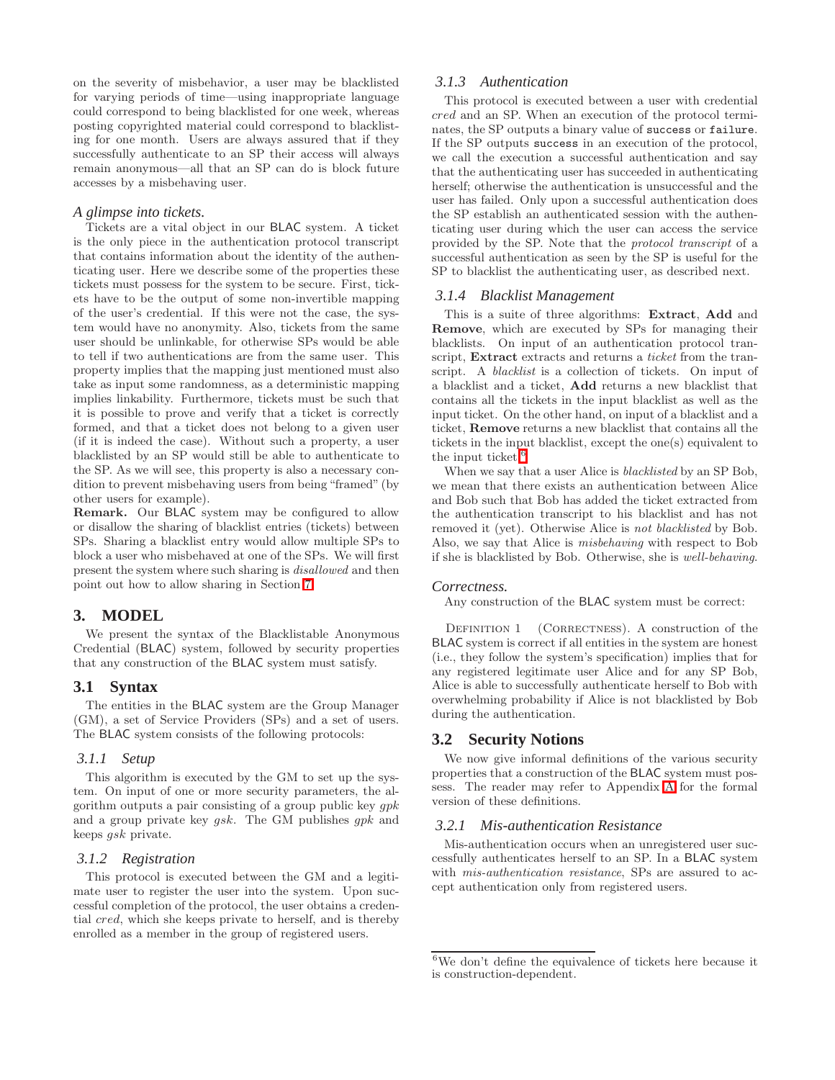on the severity of misbehavior, a user may be blacklisted for varying periods of time—using inappropriate language could correspond to being blacklisted for one week, whereas posting copyrighted material could correspond to blacklisting for one month. Users are always assured that if they successfully authenticate to an SP their access will always remain anonymous—all that an SP can do is block future accesses by a misbehaving user.

#### *A glimpse into tickets.*

Tickets are a vital object in our BLAC system. A ticket is the only piece in the authentication protocol transcript that contains information about the identity of the authenticating user. Here we describe some of the properties these tickets must possess for the system to be secure. First, tickets have to be the output of some non-invertible mapping of the user's credential. If this were not the case, the system would have no anonymity. Also, tickets from the same user should be unlinkable, for otherwise SPs would be able to tell if two authentications are from the same user. This property implies that the mapping just mentioned must also take as input some randomness, as a deterministic mapping implies linkability. Furthermore, tickets must be such that it is possible to prove and verify that a ticket is correctly formed, and that a ticket does not belong to a given user (if it is indeed the case). Without such a property, a user blacklisted by an SP would still be able to authenticate to the SP. As we will see, this property is also a necessary condition to prevent misbehaving users from being "framed" (by other users for example).

Remark. Our BLAC system may be configured to allow or disallow the sharing of blacklist entries (tickets) between SPs. Sharing a blacklist entry would allow multiple SPs to block a user who misbehaved at one of the SPs. We will first present the system where such sharing is disallowed and then point out how to allow sharing in Section [7.](#page-6-0)

### <span id="page-2-0"></span>**3. MODEL**

We present the syntax of the Blacklistable Anonymous Credential (BLAC) system, followed by security properties that any construction of the BLAC system must satisfy.

#### **3.1 Syntax**

The entities in the BLAC system are the Group Manager (GM), a set of Service Providers (SPs) and a set of users. The BLAC system consists of the following protocols:

#### *3.1.1 Setup*

This algorithm is executed by the GM to set up the system. On input of one or more security parameters, the algorithm outputs a pair consisting of a group public key  $qpk$ and a group private key gsk. The GM publishes gpk and keeps gsk private.

#### *3.1.2 Registration*

This protocol is executed between the GM and a legitimate user to register the user into the system. Upon successful completion of the protocol, the user obtains a credential cred, which she keeps private to herself, and is thereby enrolled as a member in the group of registered users.

#### *3.1.3 Authentication*

This protocol is executed between a user with credential cred and an SP. When an execution of the protocol terminates, the SP outputs a binary value of success or failure. If the SP outputs success in an execution of the protocol, we call the execution a successful authentication and say that the authenticating user has succeeded in authenticating herself; otherwise the authentication is unsuccessful and the user has failed. Only upon a successful authentication does the SP establish an authenticated session with the authenticating user during which the user can access the service provided by the SP. Note that the protocol transcript of a successful authentication as seen by the SP is useful for the SP to blacklist the authenticating user, as described next.

#### *3.1.4 Blacklist Management*

This is a suite of three algorithms: Extract, Add and Remove, which are executed by SPs for managing their blacklists. On input of an authentication protocol transcript, **Extract** extracts and returns a *ticket* from the transcript. A blacklist is a collection of tickets. On input of a blacklist and a ticket, Add returns a new blacklist that contains all the tickets in the input blacklist as well as the input ticket. On the other hand, on input of a blacklist and a ticket, Remove returns a new blacklist that contains all the tickets in the input blacklist, except the one(s) equivalent to the input ticket.<sup>[6](#page-2-1)</sup>

When we say that a user Alice is *blacklisted* by an SP Bob, we mean that there exists an authentication between Alice and Bob such that Bob has added the ticket extracted from the authentication transcript to his blacklist and has not removed it (yet). Otherwise Alice is not blacklisted by Bob. Also, we say that Alice is misbehaving with respect to Bob if she is blacklisted by Bob. Otherwise, she is well-behaving.

#### *Correctness.*

Any construction of the BLAC system must be correct:

DEFINITION 1 (CORRECTNESS). A construction of the BLAC system is correct if all entities in the system are honest (i.e., they follow the system's specification) implies that for any registered legitimate user Alice and for any SP Bob, Alice is able to successfully authenticate herself to Bob with overwhelming probability if Alice is not blacklisted by Bob during the authentication.

#### **3.2 Security Notions**

We now give informal definitions of the various security properties that a construction of the BLAC system must possess. The reader may refer to Appendix [A](#page-8-19) for the formal version of these definitions.

#### *3.2.1 Mis-authentication Resistance*

Mis-authentication occurs when an unregistered user successfully authenticates herself to an SP. In a BLAC system with *mis-authentication resistance*. SPs are assured to accept authentication only from registered users.

<span id="page-2-1"></span><sup>6</sup>We don't define the equivalence of tickets here because it is construction-dependent.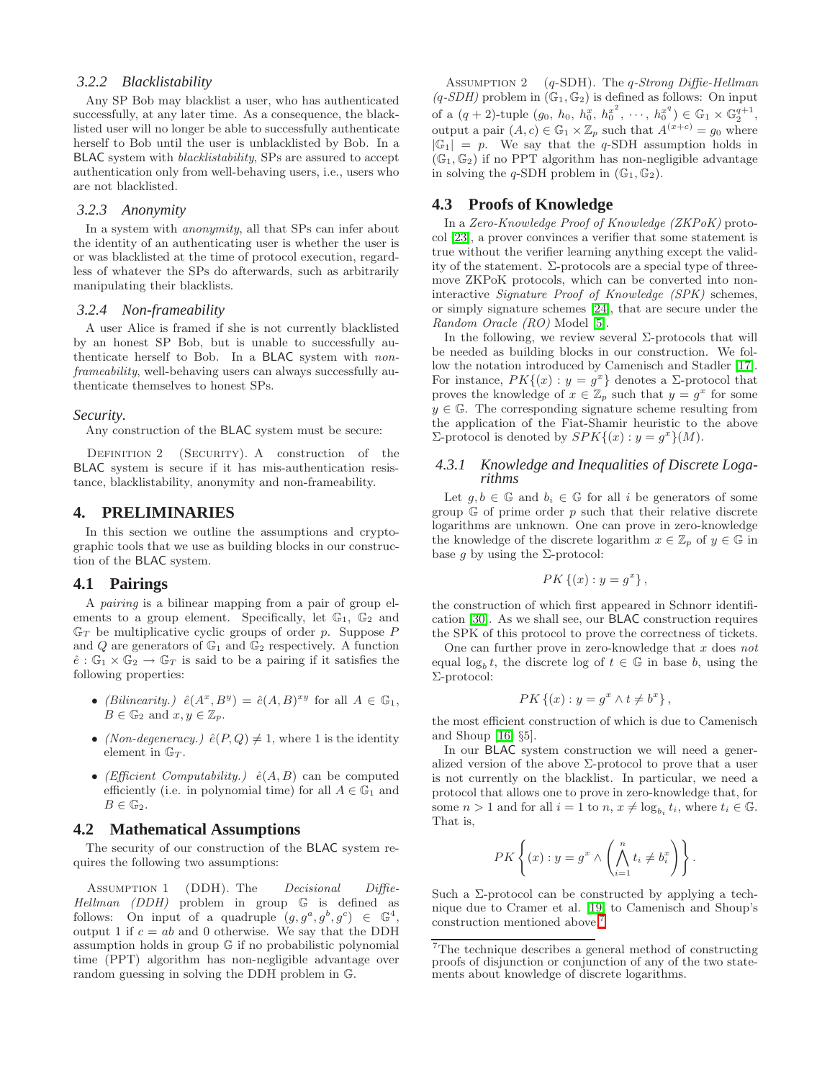#### *3.2.2 Blacklistability*

Any SP Bob may blacklist a user, who has authenticated successfully, at any later time. As a consequence, the blacklisted user will no longer be able to successfully authenticate herself to Bob until the user is unblacklisted by Bob. In a BLAC system with blacklistability, SPs are assured to accept authentication only from well-behaving users, i.e., users who are not blacklisted.

#### *3.2.3 Anonymity*

In a system with anonymity, all that SPs can infer about the identity of an authenticating user is whether the user is or was blacklisted at the time of protocol execution, regardless of whatever the SPs do afterwards, such as arbitrarily manipulating their blacklists.

#### *3.2.4 Non-frameability*

A user Alice is framed if she is not currently blacklisted by an honest SP Bob, but is unable to successfully authenticate herself to Bob. In a BLAC system with nonframeability, well-behaving users can always successfully authenticate themselves to honest SPs.

#### *Security.*

Any construction of the BLAC system must be secure:

DEFINITION 2 (SECURITY). A construction of the BLAC system is secure if it has mis-authentication resistance, blacklistability, anonymity and non-frameability.

#### <span id="page-3-0"></span>**4. PRELIMINARIES**

In this section we outline the assumptions and cryptographic tools that we use as building blocks in our construction of the BLAC system.

### **4.1 Pairings**

A pairing is a bilinear mapping from a pair of group elements to a group element. Specifically, let  $\mathbb{G}_1$ ,  $\mathbb{G}_2$  and  $\mathbb{G}_T$  be multiplicative cyclic groups of order p. Suppose P and  $Q$  are generators of  $\mathbb{G}_1$  and  $\mathbb{G}_2$  respectively. A function  $\hat{e} : \mathbb{G}_1 \times \mathbb{G}_2 \to \mathbb{G}_T$  is said to be a pairing if it satisfies the following properties:

- (Bilinearity.)  $\hat{e}(A^x, B^y) = \hat{e}(A, B)^{xy}$  for all  $A \in \mathbb{G}_1$ ,  $B \in \mathbb{G}_2$  and  $x, y \in \mathbb{Z}_p$ .
- (Non-degeneracy.)  $\hat{e}(P,Q) \neq 1$ , where 1 is the identity element in  $\mathbb{G}_T$ .
- (Efficient Computability.)  $\hat{e}(A, B)$  can be computed efficiently (i.e. in polynomial time) for all  $A \in \mathbb{G}_1$  and  $B \in \mathbb{G}_2$ .

#### **4.2 Mathematical Assumptions**

The security of our construction of the BLAC system requires the following two assumptions:

ASSUMPTION 1 (DDH). The Decisional Diffie-Hellman  $(DDH)$  problem in group  $G$  is defined as follows: On input of a quadruple  $(g, g^a, g^b, g^c) \in \mathbb{G}^4$ , output 1 if  $c = ab$  and 0 otherwise. We say that the DDH assumption holds in group G if no probabilistic polynomial time (PPT) algorithm has non-negligible advantage over random guessing in solving the DDH problem in G.

ASSUMPTION 2  $(q\text{-SDH})$ . The q-Strong Diffie-Hellman  $(q\text{-}SDH)$  problem in  $(\mathbb{G}_1, \mathbb{G}_2)$  is defined as follows: On input of a  $(q+2)$ -tuple  $(g_0, h_0, h_0^x, h_0^{x^2}, \dots, h_0^{x^q}) \in \mathbb{G}_1 \times \mathbb{G}_2^{q+1}$ , output a pair  $(A, c) \in \mathbb{G}_1 \times \mathbb{Z}_p$  such that  $A^{(x+c)} = g_0$  where  $|\mathbb{G}_1| = p$ . We say that the q-SDH assumption holds in  $(\mathbb{G}_1, \mathbb{G}_2)$  if no PPT algorithm has non-negligible advantage in solving the q-SDH problem in  $(\mathbb{G}_1, \mathbb{G}_2)$ .

### **4.3 Proofs of Knowledge**

In a Zero-Knowledge Proof of Knowledge (ZKPoK) protocol [\[23\]](#page-8-20), a prover convinces a verifier that some statement is true without the verifier learning anything except the validity of the statement.  $\Sigma$ -protocols are a special type of threemove ZKPoK protocols, which can be converted into noninteractive Signature Proof of Knowledge (SPK) schemes, or simply signature schemes [\[24\]](#page-8-21), that are secure under the Random Oracle (RO) Model [\[5\]](#page-7-7).

In the following, we review several  $\Sigma$ -protocols that will be needed as building blocks in our construction. We follow the notation introduced by Camenisch and Stadler [\[17\]](#page-8-22). For instance,  $PK{(x) : y = g^x}$  denotes a  $\Sigma$ -protocol that proves the knowledge of  $x \in \mathbb{Z}_p$  such that  $y = g^x$  for some  $y \in \mathbb{G}$ . The corresponding signature scheme resulting from the application of the Fiat-Shamir heuristic to the above Σ-protocol is denoted by  $SPK{(x): y = g<sup>x</sup>}(M)$ .

### *4.3.1 Knowledge and Inequalities of Discrete Logarithms*

Let  $q, b \in \mathbb{G}$  and  $b_i \in \mathbb{G}$  for all i be generators of some group  $\mathbb{G}$  of prime order p such that their relative discrete logarithms are unknown. One can prove in zero-knowledge the knowledge of the discrete logarithm  $x \in \mathbb{Z}_p$  of  $y \in \mathbb{G}$  in base g by using the  $\Sigma$ -protocol:

$$
PK\{(x): y = g^x\},\
$$

the construction of which first appeared in Schnorr identification [\[30\]](#page-8-23). As we shall see, our BLAC construction requires the SPK of this protocol to prove the correctness of tickets.

One can further prove in zero-knowledge that  $x$  does not equal  $\log_b t$ , the discrete log of  $t \in \mathbb{G}$  in base b, using the Σ-protocol:

$$
PK\{(x): y = g^x \wedge t \neq b^x\},\
$$

the most efficient construction of which is due to Camenisch and Shoup [\[16,](#page-8-24) §5].

In our BLAC system construction we will need a generalized version of the above  $\Sigma$ -protocol to prove that a user is not currently on the blacklist. In particular, we need a protocol that allows one to prove in zero-knowledge that, for some  $n > 1$  and for all  $i = 1$  to  $n, x \neq \log_{b_i} t_i$ , where  $t_i \in \mathbb{G}$ . That is,

$$
PK\left\{(x): y = g^x \wedge \left(\bigwedge_{i=1}^n t_i \neq b_i^x\right)\right\}.
$$

Such a  $\Sigma$ -protocol can be constructed by applying a technique due to Cramer et al. [\[19\]](#page-8-25) to Camenisch and Shoup's construction mentioned above.

<span id="page-3-1"></span><sup>7</sup>The technique describes a general method of constructing proofs of disjunction or conjunction of any of the two statements about knowledge of discrete logarithms.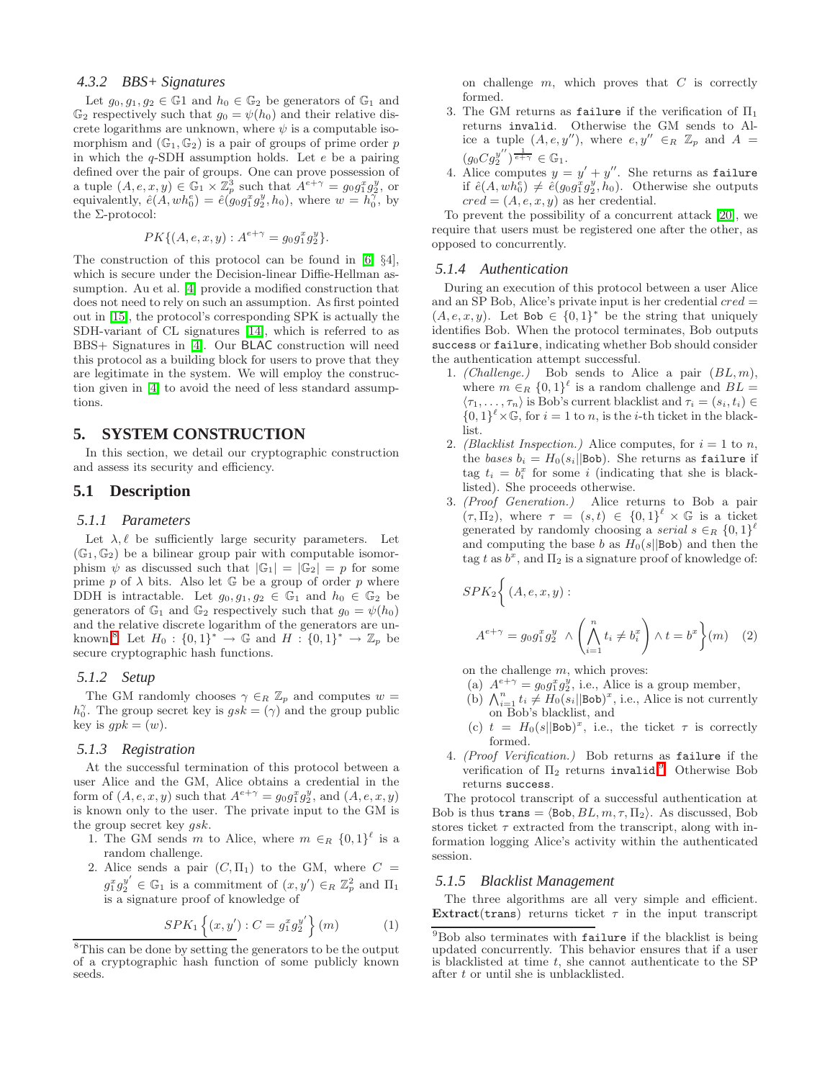### *4.3.2 BBS+ Signatures*

Let  $g_0, g_1, g_2 \in \mathbb{G}1$  and  $h_0 \in \mathbb{G}_2$  be generators of  $\mathbb{G}_1$  and  $\mathbb{G}_2$  respectively such that  $q_0 = \psi(h_0)$  and their relative discrete logarithms are unknown, where  $\psi$  is a computable isomorphism and  $(\mathbb{G}_1, \mathbb{G}_2)$  is a pair of groups of prime order p in which the  $q$ -SDH assumption holds. Let  $e$  be a pairing defined over the pair of groups. One can prove possession of a tuple  $(A, e, x, y) \in \mathbb{G}_1 \times \mathbb{Z}_p^3$  such that  $A^{e+\gamma} = g_0 g_1^x g_2^y$ , or equivalently,  $\hat{e}(A, wh_0^e) = \hat{e}(g_0g_1^xg_2^y, h_0)$ , where  $w = h_0^{\gamma}$ , by the Σ-protocol:

$$
PK\{(A, e, x, y) : A^{e+\gamma} = g_0 g_1^x g_2^y\}.
$$

The construction of this protocol can be found in [\[6,](#page-7-1) §4], which is secure under the Decision-linear Diffie-Hellman assumption. Au et al. [\[4\]](#page-7-5) provide a modified construction that does not need to rely on such an assumption. As first pointed out in [\[15\]](#page-8-1), the protocol's corresponding SPK is actually the SDH-variant of CL signatures [\[14\]](#page-8-26), which is referred to as BBS+ Signatures in [\[4\]](#page-7-5). Our BLAC construction will need this protocol as a building block for users to prove that they are legitimate in the system. We will employ the construction given in [\[4\]](#page-7-5) to avoid the need of less standard assumptions.

### <span id="page-4-0"></span>**5. SYSTEM CONSTRUCTION**

In this section, we detail our cryptographic construction and assess its security and efficiency.

#### **5.1 Description**

#### *5.1.1 Parameters*

Let  $\lambda, \ell$  be sufficiently large security parameters. Let  $(\mathbb{G}_1, \mathbb{G}_2)$  be a bilinear group pair with computable isomorphism  $\psi$  as discussed such that  $|\mathbb{G}_1| = |\mathbb{G}_2| = p$  for some prime p of  $\lambda$  bits. Also let G be a group of order p where DDH is intractable. Let  $g_0, g_1, g_2 \in \mathbb{G}_1$  and  $h_0 \in \mathbb{G}_2$  be generators of  $\mathbb{G}_1$  and  $\mathbb{G}_2$  respectively such that  $g_0 = \psi(h_0)$ and the relative discrete logarithm of the generators are un-known.<sup>[8](#page-4-1)</sup> Let  $H_0: \{0,1\}^* \to \mathbb{G}$  and  $H: \{0,1\}^* \to \mathbb{Z}_p$  be secure cryptographic hash functions.

#### *5.1.2 Setup*

The GM randomly chooses  $\gamma \in_R \mathbb{Z}_p$  and computes  $w =$  $h_0^{\gamma}$ . The group secret key is  $gsk = (\gamma)$  and the group public key is  $gpk = (w)$ .

#### *5.1.3 Registration*

At the successful termination of this protocol between a user Alice and the GM, Alice obtains a credential in the form of  $(A, e, x, y)$  such that  $A^{e+\gamma} = g_0 g_1^x g_2^y$ , and  $(A, e, x, y)$ is known only to the user. The private input to the GM is the group secret key gsk.

- 1. The GM sends m to Alice, where  $m \in_R \{0,1\}^{\ell}$  is a random challenge.
- 2. Alice sends a pair  $(C, \Pi_1)$  to the GM, where  $C =$  $g_1^x g_2^{y'} \in \mathbb{G}_1$  is a commitment of  $(x, y') \in_R \mathbb{Z}_p^2$  and  $\Pi_1$ is a signature proof of knowledge of

$$
SPK_1\left\{(x, y'): C = g_1^x g_2^{y'}\right\}(m)
$$
 (1)

on challenge  $m$ , which proves that  $C$  is correctly formed.

- 3. The GM returns as failure if the verification of  $\Pi_1$ returns invalid. Otherwise the GM sends to Alice a tuple  $(A, e, y'')$ , where  $e, y'' \in_R \mathbb{Z}_p$  and  $A =$  $(g_0Cg_2^{y''})$  $\binom{y''}{2}^{\frac{1}{e+\gamma}} \in \mathbb{G}_1.$
- 4. Alice computes  $y = y' + y''$ . She returns as failure if  $\hat{e}(A, wh_0^e) \neq \hat{e}(g_0g_1^xg_2^y, h_0)$ . Otherwise she outputs  $cred = (A, e, x, y)$  as her credential.

To prevent the possibility of a concurrent attack [\[20\]](#page-8-27), we require that users must be registered one after the other, as opposed to concurrently.

#### *5.1.4 Authentication*

During an execution of this protocol between a user Alice and an SP Bob, Alice's private input is her credential  $cred =$  $(A, e, x, y)$ . Let Bob  $\in \{0,1\}^*$  be the string that uniquely identifies Bob. When the protocol terminates, Bob outputs success or failure, indicating whether Bob should consider the authentication attempt successful.

- 1. (Challenge.) Bob sends to Alice a pair  $(BL, m)$ , where  $m \in_R \{0,1\}^{\ell}$  is a random challenge and  $BL =$  $\langle \tau_1, \ldots, \tau_n \rangle$  is Bob's current blacklist and  $\tau_i = (s_i, t_i) \in$  $\{0,1\}^{\ell} \times \mathbb{G}$ , for  $i = 1$  to n, is the *i*-th ticket in the blacklist.
- <span id="page-4-4"></span>2. (Blacklist Inspection.) Alice computes, for  $i = 1$  to n, the bases  $b_i = H_0(s_i||\text{Bob})$ . She returns as failure if tag  $t_i = b_i^x$  for some i (indicating that she is blacklisted). She proceeds otherwise.
- <span id="page-4-5"></span>3. (Proof Generation.) Alice returns to Bob a pair  $(\tau, \Pi_2)$ , where  $\tau = (s, t) \in \{0, 1\}^{\ell} \times \mathbb{G}$  is a ticket generated by randomly choosing a serial  $s \in_R \{0,1\}^{\ell}$ and computing the base b as  $H_0(s||\text{Bob})$  and then the tag t as  $b^x$ , and  $\Pi_2$  is a signature proof of knowledge of:

$$
SPK_2\bigg\{(A, e, x, y) : \nA^{e+\gamma} = g_0g_1^xg_2^y \wedge \left(\bigwedge_{i=1}^n t_i \neq b_i^x\right) \wedge t = b^x\bigg\}(m) \quad (2)
$$

on the challenge  $m$ , which proves:

- (a)  $A^{e+\gamma} = g_0 g_1^x g_2^y$ , i.e., Alice is a group member,
- (b)  $\bigwedge_{i=1}^{n} t_i \neq H_0(s_i||\text{Bob})^x$ , i.e., Alice is not currently on Bob's blacklist, and
- (c)  $t = H_0(s||\text{Bob})^x$ , i.e., the ticket  $\tau$  is correctly formed.
- <span id="page-4-3"></span>4. (Proof Verification.) Bob returns as failure if the verification of  $\Pi_2$  returns invalid.<sup>[9](#page-4-2)</sup> Otherwise Bob returns success.

The protocol transcript of a successful authentication at Bob is thus  $trans = \langle Bob, BL, m, \tau, \Pi_2 \rangle$ . As discussed, Bob stores ticket  $\tau$  extracted from the transcript, along with information logging Alice's activity within the authenticated session.

#### *5.1.5 Blacklist Management*

The three algorithms are all very simple and efficient. Extract(trans) returns ticket  $\tau$  in the input transcript

<span id="page-4-1"></span><sup>8</sup>This can be done by setting the generators to be the output of a cryptographic hash function of some publicly known seeds.

<span id="page-4-2"></span> $9Bob$  also terminates with failure if the blacklist is being updated concurrently. This behavior ensures that if a user is blacklisted at time t, she cannot authenticate to the SP after t or until she is unblacklisted.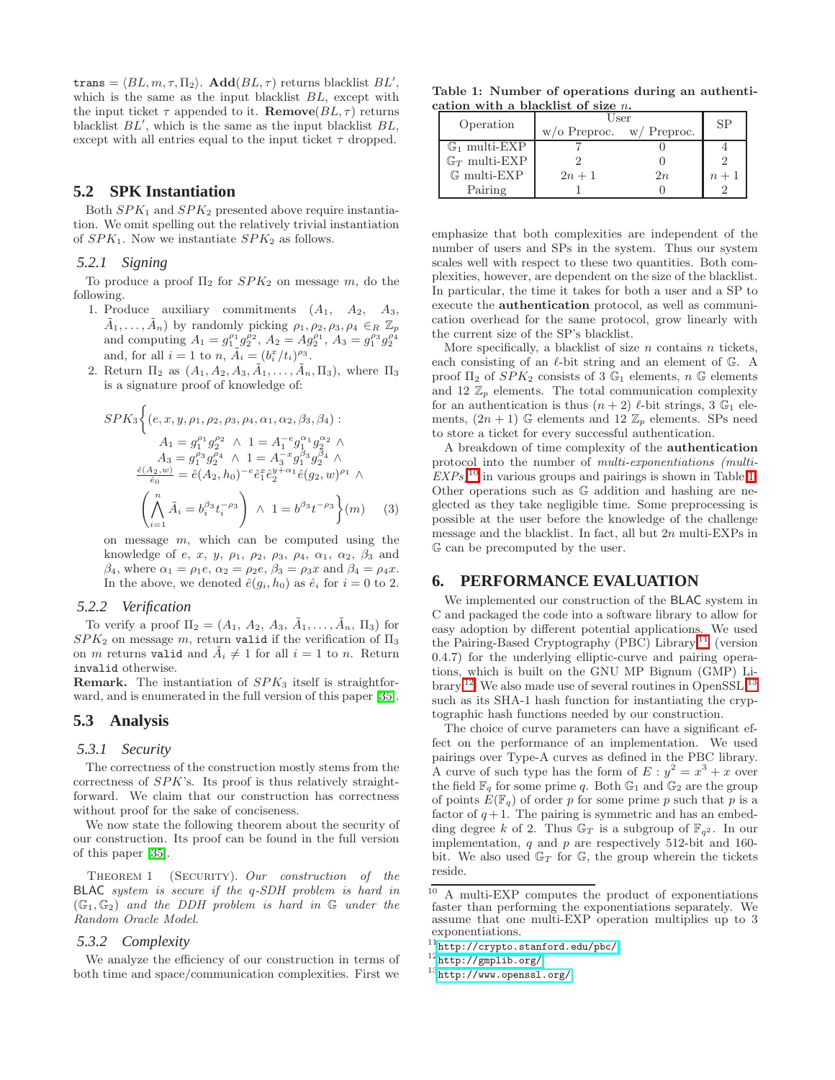trans =  $\langle BL, m, \tau, \Pi_2 \rangle$ . Add $(BL, \tau)$  returns blacklist  $BL'$ , which is the same as the input blacklist  $BL$ , except with the input ticket  $\tau$  appended to it. **Remove**( $BL, \tau$ ) returns blacklist  $BL'$ , which is the same as the input blacklist  $BL$ , except with all entries equal to the input ticket  $\tau$  dropped.

### **5.2 SPK Instantiation**

Both  $SPK_1$  and  $SPK_2$  presented above require instantiation. We omit spelling out the relatively trivial instantiation of  $SPK_1$ . Now we instantiate  $SPK_2$  as follows.

#### *5.2.1 Signing*

To produce a proof  $\Pi_2$  for  $SPK_2$  on message m, do the following.

- 1. Produce auxiliary commitments  $(A_1, A_2, A_3, A_4)$  $(\tilde{A}_1, \ldots, \tilde{A}_n)$  by randomly picking  $\rho_1, \rho_2, \rho_3, \rho_4 \in_R \mathbb{Z}_p$ and computing  $A_1 = g_1^{\rho_1} g_2^{\rho_2}$ ,  $A_2 = Ag_2^{\rho_1}$ ,  $A_3 = g_1^{\rho_3} g_2^{\rho_4}$ and, for all  $i = 1$  to  $n, \tilde{A}_i = (b_i^x/t_i)^{\rho_3}$ .
- 2. Return  $\Pi_2$  as  $(A_1, A_2, A_3, \tilde{A}_1, \ldots, \tilde{A}_n, \Pi_3)$ , where  $\Pi_3$ is a signature proof of knowledge of:

$$
SPK_{3}\left\{(e, x, y, \rho_{1}, \rho_{2}, \rho_{3}, \rho_{4}, \alpha_{1}, \alpha_{2}, \beta_{3}, \beta_{4}) : A_{1} = g_{1}^{\rho_{1}} g_{2}^{\rho_{2}} \wedge 1 = A_{1}^{-e} g_{1}^{\alpha_{1}} g_{2}^{\alpha_{2}} \wedge A_{3} = g_{1}^{\rho_{3}} g_{2}^{\rho_{4}} \wedge 1 = A_{3}^{-x} g_{1}^{\beta_{3}} g_{2}^{\beta_{4}} \wedge A_{\tilde{e}_{0}} = \hat{e}(A_{2}, h_{0})^{-e} \hat{e}_{1}^{x} \hat{e}_{2}^{y+\alpha_{1}} \hat{e}(g_{2}, w)^{\rho_{1}} \wedge A_{\tilde{e}_{0}} \left(\bigwedge_{i=1}^{n} \tilde{A}_{i} = b_{i}^{\beta_{3}} t_{i}^{-\rho_{3}}\right) \wedge 1 = b^{\beta_{3}} t^{-\rho_{3}}\right\}(m)
$$
 (3)

on message  $m$ , which can be computed using the knowledge of e, x, y,  $\rho_1$ ,  $\rho_2$ ,  $\rho_3$ ,  $\rho_4$ ,  $\alpha_1$ ,  $\alpha_2$ ,  $\beta_3$  and  $\beta_4$ , where  $\alpha_1 = \rho_1 e$ ,  $\alpha_2 = \rho_2 e$ ,  $\beta_3 = \rho_3 x$  and  $\beta_4 = \rho_4 x$ . In the above, we denoted  $\hat{e}(q_i, h_0)$  as  $\hat{e}_i$  for  $i = 0$  to 2.

#### *5.2.2 Verification*

To verify a proof  $\Pi_2 = (A_1, A_2, A_3, \tilde{A}_1, \ldots, \tilde{A}_n, \Pi_3)$  for  $SPK<sub>2</sub>$  on message m, return valid if the verification of  $\Pi<sub>3</sub>$ on m returns valid and  $\tilde{A}_i \neq 1$  for all  $i = 1$  to n. Return invalid otherwise.

**Remark.** The instantiation of  $SPK<sub>3</sub>$  itself is straightforward, and is enumerated in the full version of this paper [\[35\]](#page-8-18).

# **5.3 Analysis**

#### *5.3.1 Security*

The correctness of the construction mostly stems from the correctness of  $SPK$ 's. Its proof is thus relatively straightforward. We claim that our construction has correctness without proof for the sake of conciseness.

We now state the following theorem about the security of our construction. Its proof can be found in the full version of this paper [\[35\]](#page-8-18).

THEOREM 1 (SECURITY). Our construction of the BLAC system is secure if the q-SDH problem is hard in  $(\mathbb{G}_1, \mathbb{G}_2)$  and the DDH problem is hard in  $\mathbb{G}$  under the Random Oracle Model.

#### *5.3.2 Complexity*

We analyze the efficiency of our construction in terms of both time and space/communication complexities. First we

<span id="page-5-2"></span>Table 1: Number of operations during an authentication with a blacklist of size n.

| Operation                | User<br>$w$ /o Preproc. $w$ / Preproc. | SF |       |
|--------------------------|----------------------------------------|----|-------|
| $\mathbb{G}_1$ multi-EXP |                                        |    |       |
| $\mathbb{G}_T$ multi-EXP |                                        |    |       |
| $G$ multi-EXP            | $2n+1$                                 | 2n | $n+1$ |
| Pairing                  |                                        |    |       |

emphasize that both complexities are independent of the number of users and SPs in the system. Thus our system scales well with respect to these two quantities. Both complexities, however, are dependent on the size of the blacklist. In particular, the time it takes for both a user and a SP to execute the authentication protocol, as well as communication overhead for the same protocol, grow linearly with the current size of the SP's blacklist.

More specifically, a blacklist of size  $n$  contains  $n$  tickets, each consisting of an  $\ell$ -bit string and an element of  $\mathbb{G}$ . A proof  $\Pi_2$  of  $SPK_2$  consists of 3  $\mathbb{G}_1$  elements, n  $\mathbb{G}$  elements and 12  $\mathbb{Z}_p$  elements. The total communication complexity for an authentication is thus  $(n+2)$   $\ell$ -bit strings, 3  $\mathbb{G}_1$  elements,  $(2n + 1)$  G elements and 12  $\mathbb{Z}_p$  elements. SPs need to store a ticket for every successful authentication.

A breakdown of time complexity of the authentication protocol into the number of multi-exponentiations (multi- $EXPs<sup>10</sup>$  $EXPs<sup>10</sup>$  $EXPs<sup>10</sup>$  in various groups and pairings is shown in Table [1.](#page-5-2) Other operations such as G addition and hashing are neglected as they take negligible time. Some preprocessing is possible at the user before the knowledge of the challenge message and the blacklist. In fact, all but 2n multi-EXPs in G can be precomputed by the user.

### <span id="page-5-0"></span>**6. PERFORMANCE EVALUATION**

We implemented our construction of the BLAC system in C and packaged the code into a software library to allow for easy adoption by different potential applications. We used the Pairing-Based Cryptography (PBC) Library.<sup>[11](#page-5-3)</sup> (version 0.4.7) for the underlying elliptic-curve and pairing operations, which is built on the GNU MP Bignum (GMP) Li-brary.<sup>[12](#page-5-4)</sup> We also made use of several routines in OpenSSL,<sup>[13](#page-5-5)</sup> such as its SHA-1 hash function for instantiating the cryptographic hash functions needed by our construction.

The choice of curve parameters can have a significant effect on the performance of an implementation. We used pairings over Type-A curves as defined in the PBC library. A curve of such type has the form of  $E: y^2 = x^3 + x$  over the field  $\mathbb{F}_q$  for some prime q. Both  $\mathbb{G}_1$  and  $\mathbb{G}_2$  are the group of points  $E(\mathbb{F}_q)$  of order p for some prime p such that p is a factor of  $q+1$ . The pairing is symmetric and has an embedding degree k of 2. Thus  $\mathbb{G}_T$  is a subgroup of  $\mathbb{F}_{q^2}$ . In our implementation,  $q$  and  $p$  are respectively 512-bit and 160bit. We also used  $\mathbb{G}_T$  for  $\mathbb{G}$ , the group wherein the tickets reside.

<span id="page-5-1"></span><sup>10</sup> A multi-EXP computes the product of exponentiations faster than performing the exponentiations separately. We assume that one multi-EXP operation multiplies up to 3 exponentiations.

 $\overbrace{ }^{11}$ <http://crypto.stanford.edu/pbc/>

<span id="page-5-5"></span><span id="page-5-4"></span><span id="page-5-3"></span> $^{12}$ <http://gmplib.org/>

 $13$ <http://www.openssl.org/>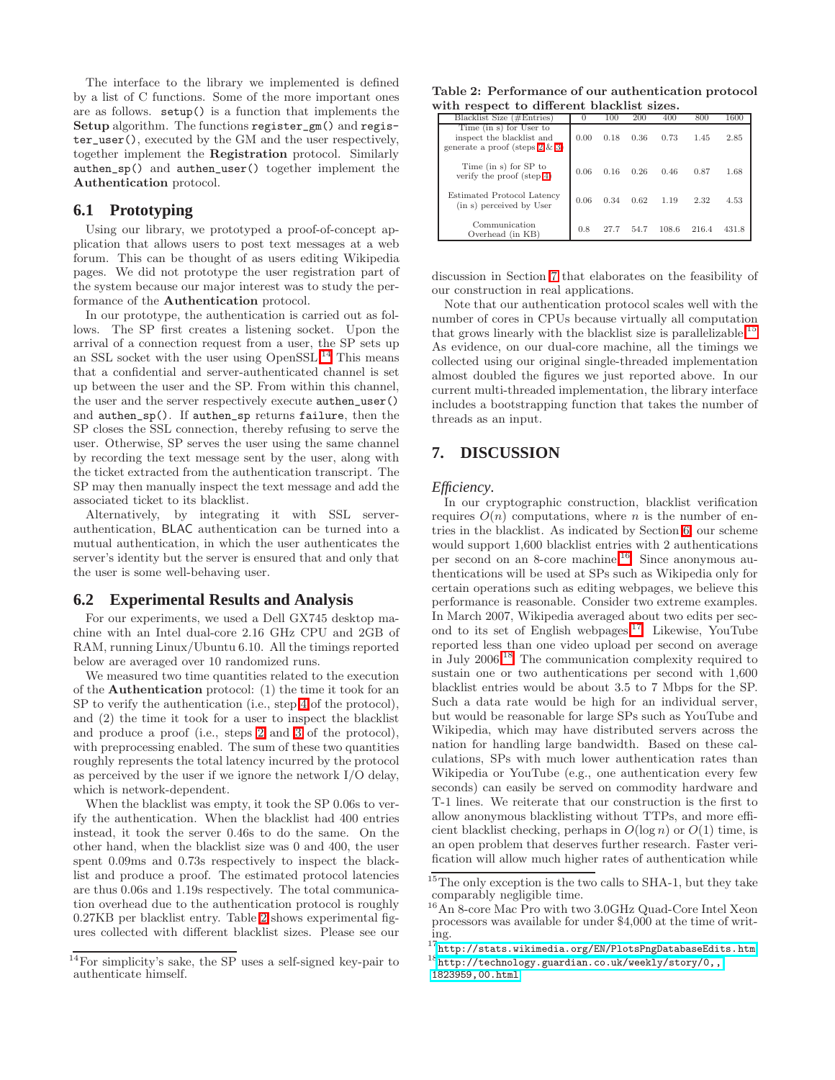The interface to the library we implemented is defined by a list of C functions. Some of the more important ones are as follows. setup() is a function that implements the Setup algorithm. The functions register\_gm() and register\_user(), executed by the GM and the user respectively, together implement the Registration protocol. Similarly authen\_sp() and authen\_user() together implement the Authentication protocol.

### **6.1 Prototyping**

Using our library, we prototyped a proof-of-concept application that allows users to post text messages at a web forum. This can be thought of as users editing Wikipedia pages. We did not prototype the user registration part of the system because our major interest was to study the performance of the Authentication protocol.

In our prototype, the authentication is carried out as follows. The SP first creates a listening socket. Upon the arrival of a connection request from a user, the SP sets up an SSL socket with the user using OpenSSL.<sup>[14](#page-6-1)</sup> This means that a confidential and server-authenticated channel is set up between the user and the SP. From within this channel, the user and the server respectively execute authen\_user() and authen\_sp(). If authen\_sp returns failure, then the SP closes the SSL connection, thereby refusing to serve the user. Otherwise, SP serves the user using the same channel by recording the text message sent by the user, along with the ticket extracted from the authentication transcript. The SP may then manually inspect the text message and add the associated ticket to its blacklist.

Alternatively, by integrating it with SSL serverauthentication, BLAC authentication can be turned into a mutual authentication, in which the user authenticates the server's identity but the server is ensured that and only that the user is some well-behaving user.

#### **6.2 Experimental Results and Analysis**

For our experiments, we used a Dell GX745 desktop machine with an Intel dual-core 2.16 GHz CPU and 2GB of RAM, running Linux/Ubuntu 6.10. All the timings reported below are averaged over 10 randomized runs.

We measured two time quantities related to the execution of the Authentication protocol: (1) the time it took for an SP to verify the authentication (i.e., step [4](#page-4-3) of the protocol), and (2) the time it took for a user to inspect the blacklist and produce a proof (i.e., steps [2](#page-4-4) and [3](#page-4-5) of the protocol), with preprocessing enabled. The sum of these two quantities roughly represents the total latency incurred by the protocol as perceived by the user if we ignore the network I/O delay, which is network-dependent.

When the blacklist was empty, it took the SP 0.06s to verify the authentication. When the blacklist had 400 entries instead, it took the server 0.46s to do the same. On the other hand, when the blacklist size was 0 and 400, the user spent 0.09ms and 0.73s respectively to inspect the blacklist and produce a proof. The estimated protocol latencies are thus 0.06s and 1.19s respectively. The total communication overhead due to the authentication protocol is roughly 0.27KB per blacklist entry. Table [2](#page-6-2) shows experimental figures collected with different blacklist sizes. Please see our

<span id="page-6-2"></span>Table 2: Performance of our authentication protocol with respect to different blacklist sizes.

| Blacklist Size (#Entries)                                                                  |      | 100  | 200  | 400   | 800   | 1600  |
|--------------------------------------------------------------------------------------------|------|------|------|-------|-------|-------|
| Time (in s) for User to<br>inspect the blacklist and<br>generate a proof (steps $2 \& 3$ ) | 0.00 | 0.18 | 0.36 | 0.73  | 1.45  | 2.85  |
| Time (in s) for SP to<br>verify the proof (step $4$ )                                      | 0.06 | 0.16 | 0.26 | 0.46  | 0.87  | 1.68  |
| Estimated Protocol Latency<br>(in s) perceived by User                                     | 0.06 | 0.34 | 0.62 | 1.19  | 2.32  | 4.53  |
| Communication<br>Overhead (in KB)                                                          | 0.8  | 27.7 | 54.7 | 108.6 | 216.4 | 431.8 |

discussion in Section [7](#page-6-0) that elaborates on the feasibility of our construction in real applications.

Note that our authentication protocol scales well with the number of cores in CPUs because virtually all computation that grows linearly with the blacklist size is parallelizable.<sup>[15](#page-6-3)</sup> As evidence, on our dual-core machine, all the timings we collected using our original single-threaded implementation almost doubled the figures we just reported above. In our current multi-threaded implementation, the library interface includes a bootstrapping function that takes the number of threads as an input.

# <span id="page-6-0"></span>**7. DISCUSSION**

#### *Efficiency.*

In our cryptographic construction, blacklist verification requires  $O(n)$  computations, where n is the number of entries in the blacklist. As indicated by Section [6,](#page-5-0) our scheme would support 1,600 blacklist entries with 2 authentications per second on an 8-core machine.[16](#page-6-4) Since anonymous authentications will be used at SPs such as Wikipedia only for certain operations such as editing webpages, we believe this performance is reasonable. Consider two extreme examples. In March 2007, Wikipedia averaged about two edits per second to its set of English webpages.[17](#page-6-5) Likewise, YouTube reported less than one video upload per second on average in July 2006.[18](#page-6-6) The communication complexity required to sustain one or two authentications per second with 1,600 blacklist entries would be about 3.5 to 7 Mbps for the SP. Such a data rate would be high for an individual server, but would be reasonable for large SPs such as YouTube and Wikipedia, which may have distributed servers across the nation for handling large bandwidth. Based on these calculations, SPs with much lower authentication rates than Wikipedia or YouTube (e.g., one authentication every few seconds) can easily be served on commodity hardware and T-1 lines. We reiterate that our construction is the first to allow anonymous blacklisting without TTPs, and more efficient blacklist checking, perhaps in  $O(\log n)$  or  $O(1)$  time, is an open problem that deserves further research. Faster verification will allow much higher rates of authentication while

<span id="page-6-1"></span><sup>&</sup>lt;sup>14</sup>For simplicity's sake, the SP uses a self-signed key-pair to authenticate himself.

<span id="page-6-3"></span> $15$ The only exception is the two calls to SHA-1, but they take comparably negligible time.

<span id="page-6-4"></span><sup>16</sup>An 8-core Mac Pro with two 3.0GHz Quad-Core Intel Xeon processors was available for under \$4,000 at the time of writing.

<span id="page-6-5"></span> $^{17}{\rm http://stats.wikimedia.org/EN/PlotsPngDatabaseEdits.htm}$  $^{17}{\rm http://stats.wikimedia.org/EN/PlotsPngDatabaseEdits.htm}$  $^{17}{\rm http://stats.wikimedia.org/EN/PlotsPngDatabaseEdits.htm}$ 

<span id="page-6-6"></span> $^{18}$ [http://technology.guardian.co.uk/weekly/story/0,,](http://technology.guardian.co.uk/weekly/story/0,,1823959,00.html)

[<sup>1823959,00.</sup>html](http://technology.guardian.co.uk/weekly/story/0,,1823959,00.html)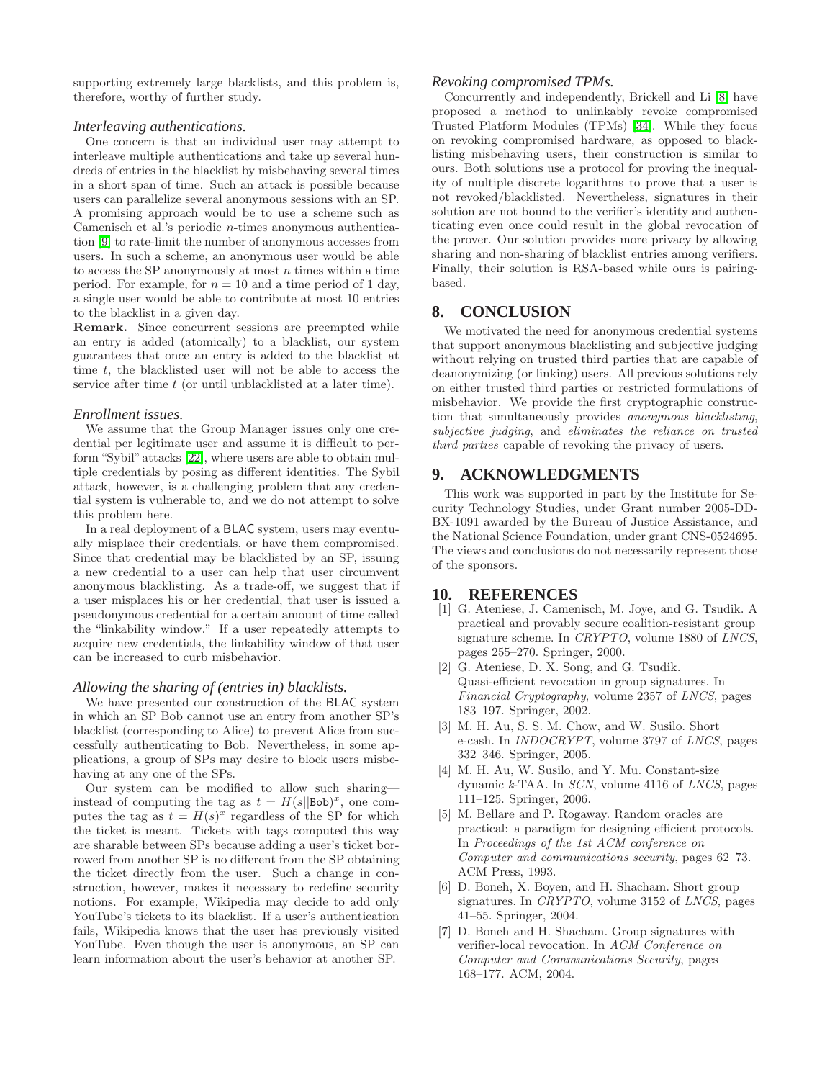supporting extremely large blacklists, and this problem is, therefore, worthy of further study.

#### *Interleaving authentications.*

One concern is that an individual user may attempt to interleave multiple authentications and take up several hundreds of entries in the blacklist by misbehaving several times in a short span of time. Such an attack is possible because users can parallelize several anonymous sessions with an SP. A promising approach would be to use a scheme such as Camenisch et al.'s periodic n-times anonymous authentication [\[9\]](#page-8-14) to rate-limit the number of anonymous accesses from users. In such a scheme, an anonymous user would be able to access the SP anonymously at most  $n$  times within a time period. For example, for  $n = 10$  and a time period of 1 day, a single user would be able to contribute at most 10 entries to the blacklist in a given day.

Remark. Since concurrent sessions are preempted while an entry is added (atomically) to a blacklist, our system guarantees that once an entry is added to the blacklist at time t, the blacklisted user will not be able to access the service after time t (or until unblacklisted at a later time).

#### *Enrollment issues.*

We assume that the Group Manager issues only one credential per legitimate user and assume it is difficult to perform "Sybil" attacks [\[22\]](#page-8-28), where users are able to obtain multiple credentials by posing as different identities. The Sybil attack, however, is a challenging problem that any credential system is vulnerable to, and we do not attempt to solve this problem here.

In a real deployment of a BLAC system, users may eventually misplace their credentials, or have them compromised. Since that credential may be blacklisted by an SP, issuing a new credential to a user can help that user circumvent anonymous blacklisting. As a trade-off, we suggest that if a user misplaces his or her credential, that user is issued a pseudonymous credential for a certain amount of time called the "linkability window." If a user repeatedly attempts to acquire new credentials, the linkability window of that user can be increased to curb misbehavior.

#### *Allowing the sharing of (entries in) blacklists.*

We have presented our construction of the BLAC system in which an SP Bob cannot use an entry from another SP's blacklist (corresponding to Alice) to prevent Alice from successfully authenticating to Bob. Nevertheless, in some applications, a group of SPs may desire to block users misbehaving at any one of the SPs.

Our system can be modified to allow such sharing instead of computing the tag as  $t = H(s||\text{Bob})^x$ , one computes the tag as  $t = H(s)^x$  regardless of the SP for which the ticket is meant. Tickets with tags computed this way are sharable between SPs because adding a user's ticket borrowed from another SP is no different from the SP obtaining the ticket directly from the user. Such a change in construction, however, makes it necessary to redefine security notions. For example, Wikipedia may decide to add only YouTube's tickets to its blacklist. If a user's authentication fails, Wikipedia knows that the user has previously visited YouTube. Even though the user is anonymous, an SP can learn information about the user's behavior at another SP.

#### *Revoking compromised TPMs.*

Concurrently and independently, Brickell and Li [\[8\]](#page-8-29) have proposed a method to unlinkably revoke compromised Trusted Platform Modules (TPMs) [\[34\]](#page-8-30). While they focus on revoking compromised hardware, as opposed to blacklisting misbehaving users, their construction is similar to ours. Both solutions use a protocol for proving the inequality of multiple discrete logarithms to prove that a user is not revoked/blacklisted. Nevertheless, signatures in their solution are not bound to the verifier's identity and authenticating even once could result in the global revocation of the prover. Our solution provides more privacy by allowing sharing and non-sharing of blacklist entries among verifiers. Finally, their solution is RSA-based while ours is pairingbased.

# <span id="page-7-6"></span>**8. CONCLUSION**

We motivated the need for anonymous credential systems that support anonymous blacklisting and subjective judging without relying on trusted third parties that are capable of deanonymizing (or linking) users. All previous solutions rely on either trusted third parties or restricted formulations of misbehavior. We provide the first cryptographic construction that simultaneously provides anonymous blacklisting, subjective judging, and eliminates the reliance on trusted third parties capable of revoking the privacy of users.

### **9. ACKNOWLEDGMENTS**

This work was supported in part by the Institute for Security Technology Studies, under Grant number 2005-DD-BX-1091 awarded by the Bureau of Justice Assistance, and the National Science Foundation, under grant CNS-0524695. The views and conclusions do not necessarily represent those of the sponsors.

### <span id="page-7-0"></span>**10. REFERENCES**

- [1] G. Ateniese, J. Camenisch, M. Joye, and G. Tsudik. A practical and provably secure coalition-resistant group signature scheme. In CRYPTO, volume 1880 of LNCS, pages 255–270. Springer, 2000.
- <span id="page-7-2"></span>[2] G. Ateniese, D. X. Song, and G. Tsudik. Quasi-efficient revocation in group signatures. In Financial Cryptography, volume 2357 of LNCS, pages 183–197. Springer, 2002.
- <span id="page-7-4"></span>[3] M. H. Au, S. S. M. Chow, and W. Susilo. Short e-cash. In INDOCRYPT, volume 3797 of LNCS, pages 332–346. Springer, 2005.
- <span id="page-7-5"></span>[4] M. H. Au, W. Susilo, and Y. Mu. Constant-size dynamic k-TAA. In SCN, volume 4116 of LNCS, pages 111–125. Springer, 2006.
- <span id="page-7-7"></span>[5] M. Bellare and P. Rogaway. Random oracles are practical: a paradigm for designing efficient protocols. In Proceedings of the 1st ACM conference on Computer and communications security, pages 62–73. ACM Press, 1993.
- <span id="page-7-1"></span>[6] D. Boneh, X. Boyen, and H. Shacham. Short group signatures. In CRYPTO, volume 3152 of LNCS, pages 41–55. Springer, 2004.
- <span id="page-7-3"></span>[7] D. Boneh and H. Shacham. Group signatures with verifier-local revocation. In ACM Conference on Computer and Communications Security, pages 168–177. ACM, 2004.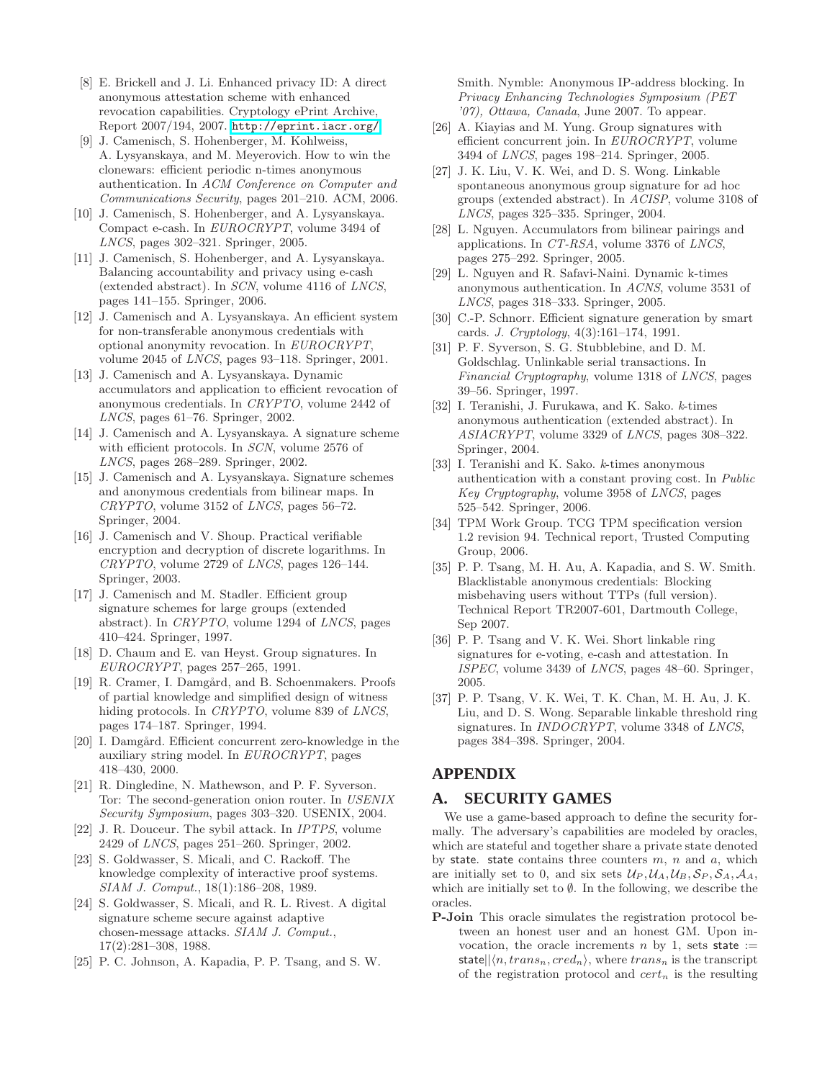- <span id="page-8-29"></span>[8] E. Brickell and J. Li. Enhanced privacy ID: A direct anonymous attestation scheme with enhanced revocation capabilities. Cryptology ePrint Archive, Report 2007/194, 2007. <http://eprint.iacr.org/>.
- <span id="page-8-14"></span>[9] J. Camenisch, S. Hohenberger, M. Kohlweiss, A. Lysyanskaya, and M. Meyerovich. How to win the clonewars: efficient periodic n-times anonymous authentication. In ACM Conference on Computer and Communications Security, pages 201–210. ACM, 2006.
- <span id="page-8-6"></span>[10] J. Camenisch, S. Hohenberger, and A. Lysyanskaya. Compact e-cash. In EUROCRYPT, volume 3494 of LNCS, pages 302–321. Springer, 2005.
- <span id="page-8-7"></span>[11] J. Camenisch, S. Hohenberger, and A. Lysyanskaya. Balancing accountability and privacy using e-cash (extended abstract). In SCN, volume 4116 of LNCS, pages 141–155. Springer, 2006.
- <span id="page-8-0"></span>[12] J. Camenisch and A. Lysyanskaya. An efficient system for non-transferable anonymous credentials with optional anonymity revocation. In EUROCRYPT, volume 2045 of LNCS, pages 93–118. Springer, 2001.
- <span id="page-8-4"></span>[13] J. Camenisch and A. Lysyanskaya. Dynamic accumulators and application to efficient revocation of anonymous credentials. In CRYPTO, volume 2442 of LNCS, pages 61–76. Springer, 2002.
- <span id="page-8-26"></span>[14] J. Camenisch and A. Lysyanskaya. A signature scheme with efficient protocols. In SCN, volume 2576 of LNCS, pages 268–289. Springer, 2002.
- <span id="page-8-1"></span>[15] J. Camenisch and A. Lysyanskaya. Signature schemes and anonymous credentials from bilinear maps. In CRYPTO, volume 3152 of LNCS, pages 56–72. Springer, 2004.
- <span id="page-8-24"></span>[16] J. Camenisch and V. Shoup. Practical verifiable encryption and decryption of discrete logarithms. In CRYPTO, volume 2729 of LNCS, pages 126–144. Springer, 2003.
- <span id="page-8-22"></span>[17] J. Camenisch and M. Stadler. Efficient group signature schemes for large groups (extended abstract). In CRYPTO, volume 1294 of LNCS, pages 410–424. Springer, 1997.
- <span id="page-8-2"></span>[18] D. Chaum and E. van Heyst. Group signatures. In EUROCRYPT, pages 257–265, 1991.
- <span id="page-8-25"></span>[19] R. Cramer, I. Damgård, and B. Schoenmakers. Proofs of partial knowledge and simplified design of witness hiding protocols. In CRYPTO, volume 839 of LNCS, pages 174–187. Springer, 1994.
- <span id="page-8-27"></span>[20] I. Damgård. Efficient concurrent zero-knowledge in the auxiliary string model. In EUROCRYPT, pages 418–430, 2000.
- <span id="page-8-17"></span>[21] R. Dingledine, N. Mathewson, and P. F. Syverson. Tor: The second-generation onion router. In USENIX Security Symposium, pages 303–320. USENIX, 2004.
- <span id="page-8-28"></span>[22] J. R. Douceur. The sybil attack. In IPTPS, volume 2429 of LNCS, pages 251–260. Springer, 2002.
- <span id="page-8-20"></span>[23] S. Goldwasser, S. Micali, and C. Rackoff. The knowledge complexity of interactive proof systems. SIAM J. Comput., 18(1):186–208, 1989.
- <span id="page-8-21"></span>[24] S. Goldwasser, S. Micali, and R. L. Rivest. A digital signature scheme secure against adaptive chosen-message attacks. SIAM J. Comput., 17(2):281–308, 1988.
- <span id="page-8-16"></span>[25] P. C. Johnson, A. Kapadia, P. P. Tsang, and S. W.

Smith. Nymble: Anonymous IP-address blocking. In Privacy Enhancing Technologies Symposium (PET '07), Ottawa, Canada, June 2007. To appear.

- <span id="page-8-3"></span>[26] A. Kiayias and M. Yung. Group signatures with efficient concurrent join. In EUROCRYPT, volume 3494 of LNCS, pages 198–214. Springer, 2005.
- <span id="page-8-11"></span>[27] J. K. Liu, V. K. Wei, and D. S. Wong. Linkable spontaneous anonymous group signature for ad hoc groups (extended abstract). In ACISP, volume 3108 of LNCS, pages 325–335. Springer, 2004.
- <span id="page-8-5"></span>[28] L. Nguyen. Accumulators from bilinear pairings and applications. In CT-RSA, volume 3376 of LNCS, pages 275–292. Springer, 2005.
- <span id="page-8-9"></span>[29] L. Nguyen and R. Safavi-Naini. Dynamic k-times anonymous authentication. In ACNS, volume 3531 of LNCS, pages 318–333. Springer, 2005.
- <span id="page-8-23"></span>[30] C.-P. Schnorr. Efficient signature generation by smart cards. J. Cryptology, 4(3):161–174, 1991.
- <span id="page-8-15"></span>[31] P. F. Syverson, S. G. Stubblebine, and D. M. Goldschlag. Unlinkable serial transactions. In Financial Cryptography, volume 1318 of LNCS, pages 39–56. Springer, 1997.
- <span id="page-8-8"></span>[32] I. Teranishi, J. Furukawa, and K. Sako. k-times anonymous authentication (extended abstract). In ASIACRYPT, volume 3329 of LNCS, pages 308–322. Springer, 2004.
- <span id="page-8-10"></span>[33] I. Teranishi and K. Sako. k-times anonymous authentication with a constant proving cost. In Public Key Cryptography, volume 3958 of LNCS, pages 525–542. Springer, 2006.
- <span id="page-8-30"></span>[34] TPM Work Group. TCG TPM specification version 1.2 revision 94. Technical report, Trusted Computing Group, 2006.
- <span id="page-8-18"></span>[35] P. P. Tsang, M. H. Au, A. Kapadia, and S. W. Smith. Blacklistable anonymous credentials: Blocking misbehaving users without TTPs (full version). Technical Report TR2007-601, Dartmouth College, Sep 2007.
- <span id="page-8-12"></span>[36] P. P. Tsang and V. K. Wei. Short linkable ring signatures for e-voting, e-cash and attestation. In ISPEC, volume 3439 of LNCS, pages 48–60. Springer, 2005.
- <span id="page-8-13"></span>[37] P. P. Tsang, V. K. Wei, T. K. Chan, M. H. Au, J. K. Liu, and D. S. Wong. Separable linkable threshold ring signatures. In INDOCRYPT, volume 3348 of LNCS, pages 384–398. Springer, 2004.

# <span id="page-8-19"></span>**APPENDIX**

# **A. SECURITY GAMES**

We use a game-based approach to define the security formally. The adversary's capabilities are modeled by oracles, which are stateful and together share a private state denoted by state. state contains three counters  $m$ ,  $n$  and  $a$ , which are initially set to 0, and six sets  $U_P, U_A, U_B, S_P, S_A, A_A$ , which are initially set to  $\emptyset$ . In the following, we describe the oracles.

P-Join This oracle simulates the registration protocol between an honest user and an honest GM. Upon invocation, the oracle increments n by 1, sets state  $:=$ state $||\langle n, trans_n, cred_n \rangle$ , where  $trans_n$  is the transcript of the registration protocol and  $cert_n$  is the resulting